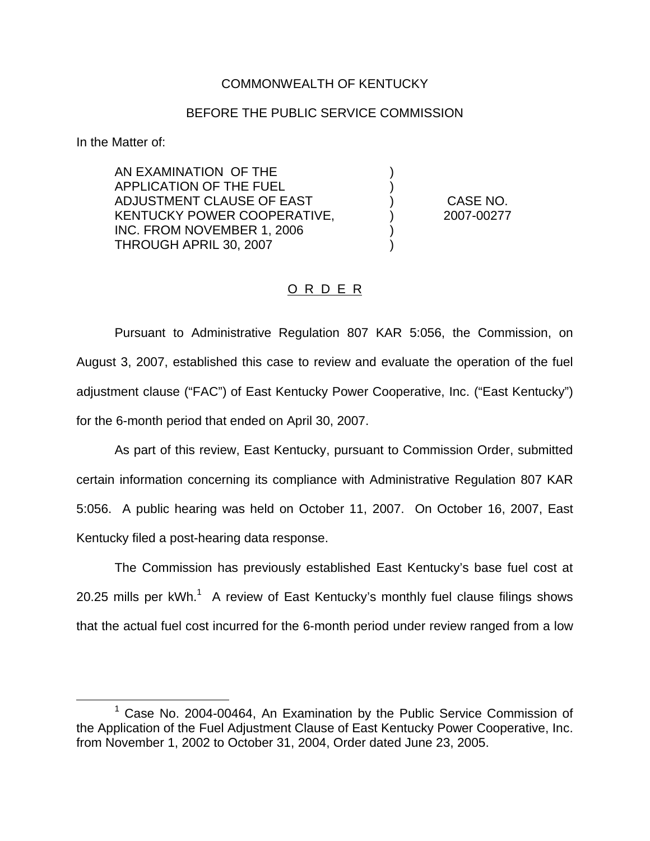## COMMONWEALTH OF KENTUCKY

## BEFORE THE PUBLIC SERVICE COMMISSION

) )

) )

In the Matter of:

AN EXAMINATION OF THE APPLICATION OF THE FUEL ADJUSTMENT CLAUSE OF EAST KENTUCKY POWER COOPERATIVE, INC. FROM NOVEMBER 1, 2006 THROUGH APRIL 30, 2007

) CASE NO. ) 2007-00277

## O R D E R

Pursuant to Administrative Regulation 807 KAR 5:056, the Commission, on August 3, 2007, established this case to review and evaluate the operation of the fuel adjustment clause ("FAC") of East Kentucky Power Cooperative, Inc. ("East Kentucky") for the 6-month period that ended on April 30, 2007.

As part of this review, East Kentucky, pursuant to Commission Order, submitted certain information concerning its compliance with Administrative Regulation 807 KAR 5:056. A public hearing was held on October 11, 2007. On October 16, 2007, East Kentucky filed a post-hearing data response.

The Commission has previously established East Kentucky's base fuel cost at 20.25 mills per  $kWh$ <sup>1</sup> A review of East Kentucky's monthly fuel clause filings shows that the actual fuel cost incurred for the 6-month period under review ranged from a low

 $1$  Case No. 2004-00464, An Examination by the Public Service Commission of the Application of the Fuel Adjustment Clause of East Kentucky Power Cooperative, Inc. from November 1, 2002 to October 31, 2004, Order dated June 23, 2005.